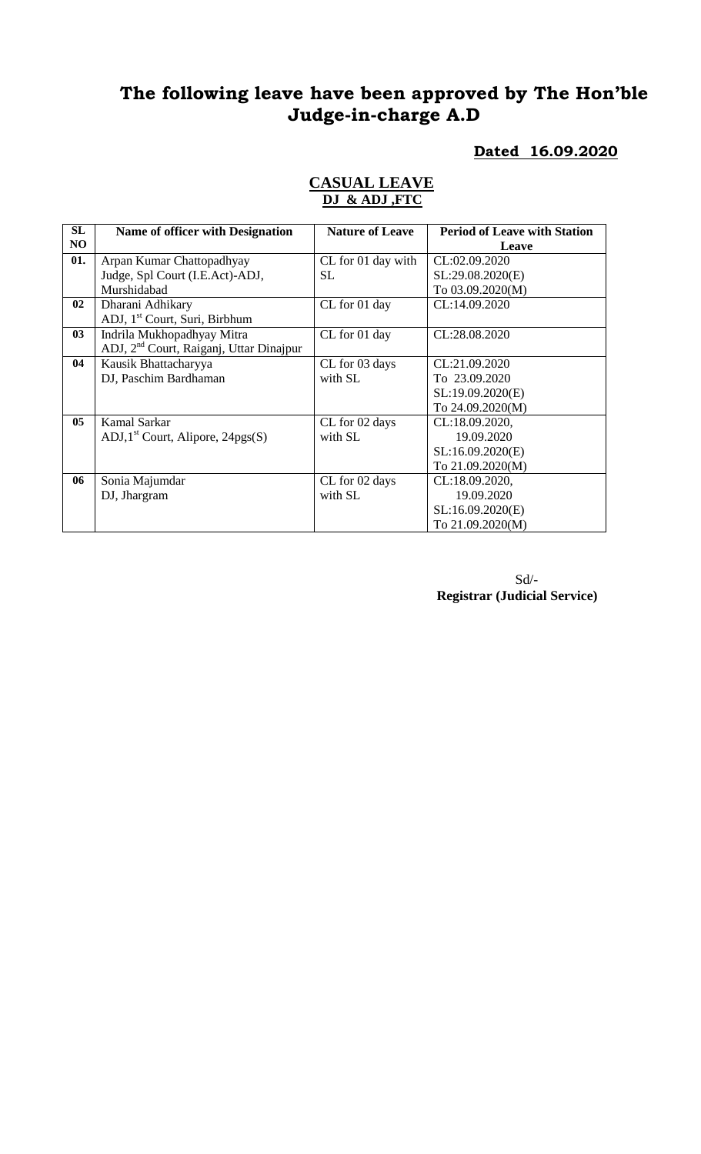# **The following leave have been approved by The Hon'ble Judge-in-charge A.D**

#### **Dated 16.09.2020**

#### **CASUAL LEAVE DJ & ADJ ,FTC**

| SL             | <b>Name of officer with Designation</b>             | <b>Nature of Leave</b> | <b>Period of Leave with Station</b> |
|----------------|-----------------------------------------------------|------------------------|-------------------------------------|
| NO             |                                                     |                        | Leave                               |
| 01.            | Arpan Kumar Chattopadhyay                           | CL for 01 day with     | CL:02.09.2020                       |
|                | Judge, Spl Court (I.E.Act)-ADJ,                     | <b>SL</b>              | SL:29.08.2020(E)                    |
|                | Murshidabad                                         |                        | To 03.09.2020(M)                    |
| 02             | Dharani Adhikary                                    | CL for 01 day          | CL:14.09.2020                       |
|                | ADJ, 1 <sup>st</sup> Court, Suri, Birbhum           |                        |                                     |
| 03             | Indrila Mukhopadhyay Mitra                          | CL for 01 day          | CL:28.08.2020                       |
|                | ADJ, 2 <sup>nd</sup> Court, Raiganj, Uttar Dinajpur |                        |                                     |
| 04             | Kausik Bhattacharyya                                | CL for 03 days         | CL:21.09.2020                       |
|                | DJ, Paschim Bardhaman                               | with SL                | To 23.09.2020                       |
|                |                                                     |                        | SL:19.09.2020(E)                    |
|                |                                                     |                        | To 24.09.2020(M)                    |
| 0 <sub>5</sub> | Kamal Sarkar                                        | CL for 02 days         | CL:18.09.2020,                      |
|                | ADJ, $1st$ Court, Alipore, 24pgs(S)                 | with SL                | 19.09.2020                          |
|                |                                                     |                        | SL:16.09.2020(E)                    |
|                |                                                     |                        | To 21.09.2020(M)                    |
| 06             | Sonia Majumdar                                      | CL for 02 days         | CL:18.09.2020,                      |
|                | DJ, Jhargram                                        | with SL                | 19.09.2020                          |
|                |                                                     |                        | SL:16.09.2020(E)                    |
|                |                                                     |                        | To 21.09.2020(M)                    |

Sd/- **Registrar (Judicial Service)**